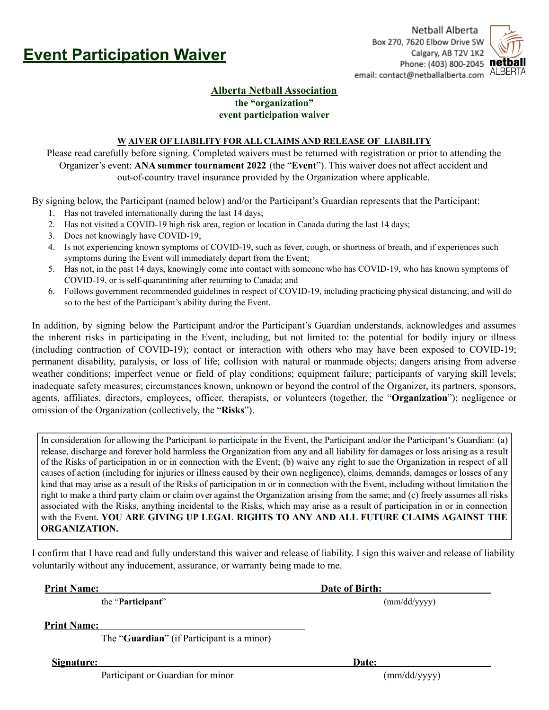

Netball Alberta Box 270, 7620 Elbow Drive SW Calgary, AB T2V 1K2 Phone: (403) 800-2045 net email: contact@netballalberta.com ALBERTA



## **Alberta Netball Association the "organization" event participation waiver**

## **W AIVER OF LIABILITY FOR ALL CLAIMS AND RELEASE OF LIABILITY**

Please read carefully before signing. Completed waivers must be returned with registration or prior to attending the Organizer's event: **ANA summer tournament 2022** (the "**Event**"). This waiver does not affect accident and out-of-country travel insurance provided by the Organization where applicable.

By signing below, the Participant (named below) and/or the Participant's Guardian represents that the Participant:

- 1. Has not traveled internationally during the last 14 days;
- 2. Has not visited a COVID-19 high risk area, region or location in Canada during the last 14 days;
- 3. Does not knowingly have COVID-19;
- 4. Is not experiencing known symptoms of COVID-19, such as fever, cough, or shortness of breath, and if experiences such symptoms during the Event will immediately depart from the Event;
- 5. Has not, in the past 14 days, knowingly come into contact with someone who has COVID-19, who has known symptoms of COVID-19, or is self-quarantining after returning to Canada; and
- 6. Follows government recommended guidelines in respect of COVID-19, including practicing physical distancing, and will do so to the best of the Participant's ability during the Event.

In addition, by signing below the Participant and/or the Participant's Guardian understands, acknowledges and assumes the inherent risks in participating in the Event, including, but not limited to: the potential for bodily injury or illness (including contraction of COVID-19); contact or interaction with others who may have been exposed to COVID-19; permanent disability, paralysis, or loss of life; collision with natural or manmade objects; dangers arising from adverse weather conditions; imperfect venue or field of play conditions; equipment failure; participants of varying skill levels; inadequate safety measures; circumstances known, unknown or beyond the control of the Organizer, its partners, sponsors, agents, affiliates, directors, employees, officer, therapists, or volunteers (together, the "**Organization**"); negligence or omission of the Organization (collectively, the "**Risks**").

In consideration for allowing the Participant to participate in the Event, the Participant and/or the Participant's Guardian: (a) release, discharge and forever hold harmless the Organization from any and all liability for damages or loss arising as a result of the Risks of participation in or in connection with the Event; (b) waive any right to sue the Organization in respect of all causes of action (including for injuries or illness caused by their own negligence), claims, demands, damages or losses of any kind that may arise as a result of the Risks of participation in or in connection with the Event, including without limitation the right to make a third party claim or claim over against the Organization arising from the same; and (c) freely assumes all risks associated with the Risks, anything incidental to the Risks, which may arise as a result of participation in or in connection with the Event. YOU ARE GIVING UP LEGAL RIGHTS TO ANY AND ALL FUTURE CLAIMS AGAINST THE **ORGANIZATION.** 

I confirm that I have read and fully understand this waiver and release of liability. I sign this waiver and release of liability voluntarily without any inducement, assurance, or warranty being made to me.

**Print Name: Date of Birth:**

the "**Participant**" (mm/dd/yyyy)

**Print Name:**

The "**Guardian**" (if Participant is a minor)

**Signature: Date:**

Participant or Guardian for minor (mm/dd/yyyy)